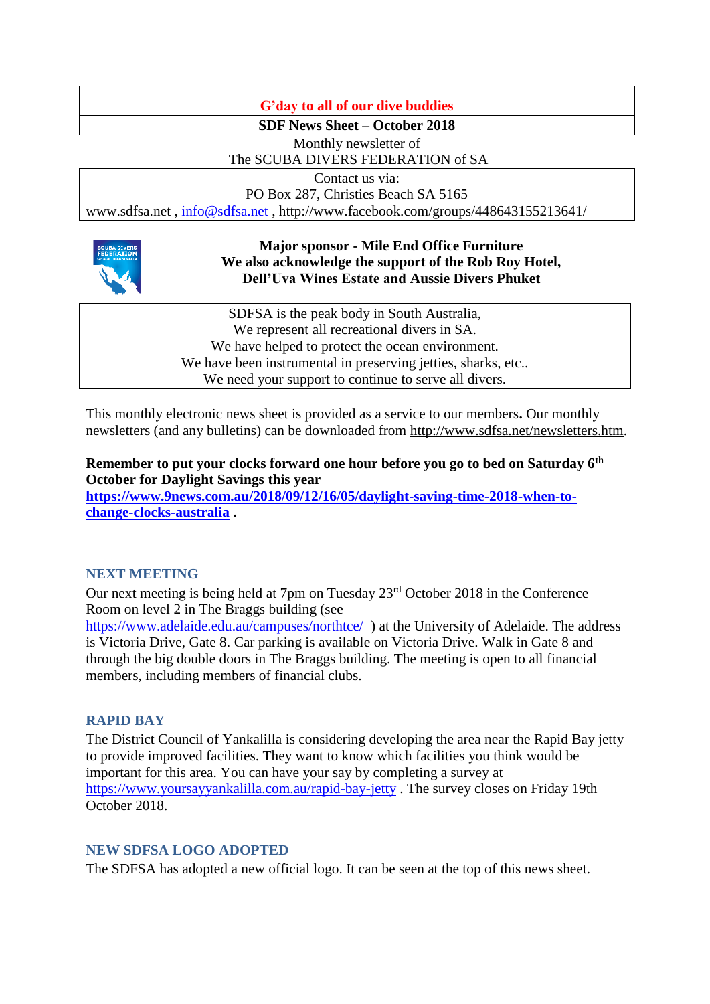# **G'day to all of our dive buddies**

**SDF News Sheet – October 2018**

Monthly newsletter of

The SCUBA DIVERS FEDERATION of SA

Contact us via:

PO Box 287, Christies Beach SA 5165

[www.sdfsa.net](http://www.sdfsa.net/) , [info@sdfsa.net](mailto:info@sdfsa.net) , <http://www.facebook.com/groups/448643155213641/>



## **Major sponsor - Mile End Office Furniture We also acknowledge the support of the Rob Roy Hotel, Dell'Uva Wines Estate and Aussie Divers Phuket**

SDFSA is the peak body in South Australia, We represent all recreational divers in SA. We have helped to protect the ocean environment. We have been instrumental in preserving jetties, sharks, etc... We need your support to continue to serve all divers.

This monthly electronic news sheet is provided as a service to our members**.** Our monthly newsletters (and any bulletins) can be downloaded from [http://www.sdfsa.net/newsletters.htm.](http://www.sdfsa.net/newsletters.htm)

**Remember to put your clocks forward one hour before you go to bed on Saturday 6th October for Daylight Savings this year [https://www.9news.com.au/2018/09/12/16/05/daylight-saving-time-2018-when-to-](https://www.9news.com.au/2018/09/12/16/05/daylight-saving-time-2018-when-to-change-clocks-australia)**

**[change-clocks-australia](https://www.9news.com.au/2018/09/12/16/05/daylight-saving-time-2018-when-to-change-clocks-australia) .**

# **NEXT MEETING**

Our next meeting is being held at 7pm on Tuesday 23rd October 2018 in the Conference Room on level 2 in The Braggs building (see

<https://www.adelaide.edu.au/campuses/northtce/>) at the University of Adelaide. The address is Victoria Drive, Gate 8. Car parking is available on Victoria Drive. Walk in Gate 8 and through the big double doors in The Braggs building. The meeting is open to all financial members, including members of financial clubs.

# **RAPID BAY**

The District Council of Yankalilla is considering developing the area near the Rapid Bay jetty to provide improved facilities. They want to know which facilities you think would be important for this area. You can have your say by completing a survey at <https://www.yoursayyankalilla.com.au/rapid-bay-jetty> . The survey closes on Friday 19th October 2018.

# **NEW SDFSA LOGO ADOPTED**

The SDFSA has adopted a new official logo. It can be seen at the top of this news sheet.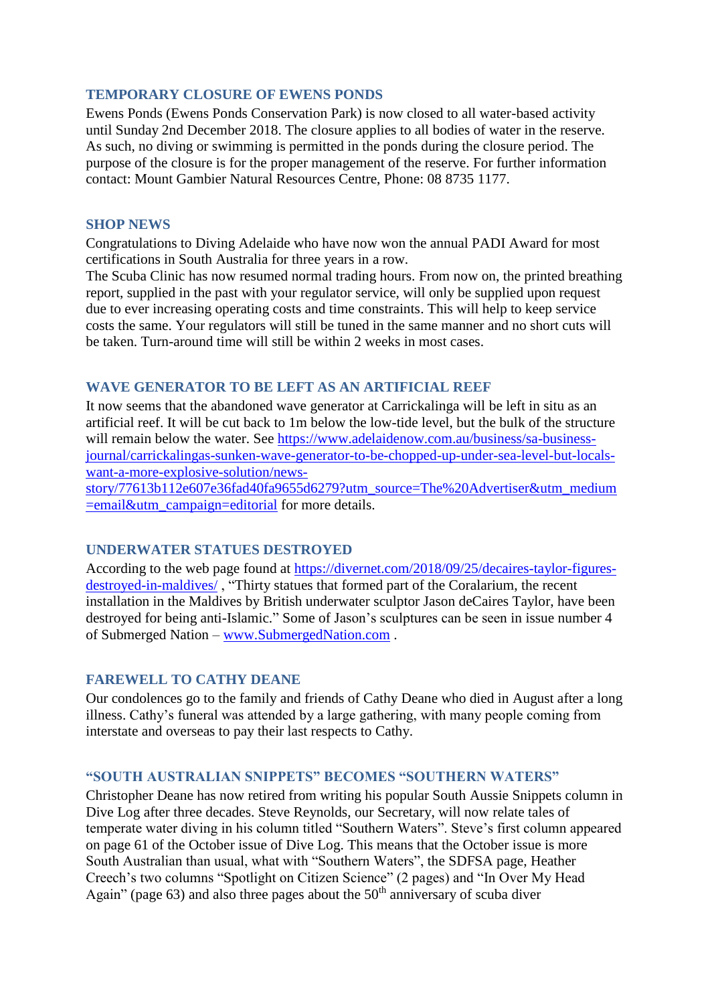## **TEMPORARY CLOSURE OF EWENS PONDS**

Ewens Ponds (Ewens Ponds Conservation Park) is now closed to all water-based activity until Sunday 2nd December 2018. The closure applies to all bodies of water in the reserve. As such, no diving or swimming is permitted in the ponds during the closure period. The purpose of the closure is for the proper management of the reserve. For further information contact: Mount Gambier Natural Resources Centre, Phone: 08 8735 1177.

#### **SHOP NEWS**

Congratulations to Diving Adelaide who have now won the annual PADI Award for most certifications in South Australia for three years in a row.

The Scuba Clinic has now resumed normal trading hours. From now on, the printed breathing report, supplied in the past with your regulator service, will only be supplied upon request due to ever increasing operating costs and time constraints. This will help to keep service costs the same. Your regulators will still be tuned in the same manner and no short cuts will be taken. Turn-around time will still be within 2 weeks in most cases.

## **WAVE GENERATOR TO BE LEFT AS AN ARTIFICIAL REEF**

It now seems that the abandoned wave generator at Carrickalinga will be left in situ as an artificial reef. It will be cut back to 1m below the low-tide level, but the bulk of the structure will remain below the water. See [https://www.adelaidenow.com.au/business/sa-business](https://www.adelaidenow.com.au/business/sa-business-journal/carrickalingas-sunken-wave-generator-to-be-chopped-up-under-sea-level-but-locals-want-a-more-explosive-solution/news-story/77613b112e607e36fad40fa9655d6279?utm_source=The%20Advertiser&utm_medium=email&utm_campaign=editorial)[journal/carrickalingas-sunken-wave-generator-to-be-chopped-up-under-sea-level-but-locals](https://www.adelaidenow.com.au/business/sa-business-journal/carrickalingas-sunken-wave-generator-to-be-chopped-up-under-sea-level-but-locals-want-a-more-explosive-solution/news-story/77613b112e607e36fad40fa9655d6279?utm_source=The%20Advertiser&utm_medium=email&utm_campaign=editorial)[want-a-more-explosive-solution/news-](https://www.adelaidenow.com.au/business/sa-business-journal/carrickalingas-sunken-wave-generator-to-be-chopped-up-under-sea-level-but-locals-want-a-more-explosive-solution/news-story/77613b112e607e36fad40fa9655d6279?utm_source=The%20Advertiser&utm_medium=email&utm_campaign=editorial)

[story/77613b112e607e36fad40fa9655d6279?utm\\_source=The%20Advertiser&utm\\_medium](https://www.adelaidenow.com.au/business/sa-business-journal/carrickalingas-sunken-wave-generator-to-be-chopped-up-under-sea-level-but-locals-want-a-more-explosive-solution/news-story/77613b112e607e36fad40fa9655d6279?utm_source=The%20Advertiser&utm_medium=email&utm_campaign=editorial)  $=$ email&utm\_campaign=editorial for more details.

#### **UNDERWATER STATUES DESTROYED**

According to the web page found at [https://divernet.com/2018/09/25/decaires-taylor-figures](https://divernet.com/2018/09/25/decaires-taylor-figures-destroyed-in-maldives/)[destroyed-in-maldives/](https://divernet.com/2018/09/25/decaires-taylor-figures-destroyed-in-maldives/) , "Thirty statues that formed part of the Coralarium, the recent installation in the Maldives by British underwater sculptor Jason deCaires Taylor, have been destroyed for being anti-Islamic." Some of Jason's sculptures can be seen in issue number 4 of Submerged Nation – [www.SubmergedNation.com](http://www.submergednation.com/) .

#### **FAREWELL TO CATHY DEANE**

Our condolences go to the family and friends of Cathy Deane who died in August after a long illness. Cathy's funeral was attended by a large gathering, with many people coming from interstate and overseas to pay their last respects to Cathy.

## **"SOUTH AUSTRALIAN SNIPPETS" BECOMES "SOUTHERN WATERS"**

Christopher Deane has now retired from writing his popular South Aussie Snippets column in Dive Log after three decades. Steve Reynolds, our Secretary, will now relate tales of temperate water diving in his column titled "Southern Waters". Steve's first column appeared on page 61 of the October issue of Dive Log. This means that the October issue is more South Australian than usual, what with "Southern Waters", the SDFSA page, Heather Creech's two columns "Spotlight on Citizen Science" (2 pages) and "In Over My Head Again" (page 63) and also three pages about the  $50<sup>th</sup>$  anniversary of scuba diver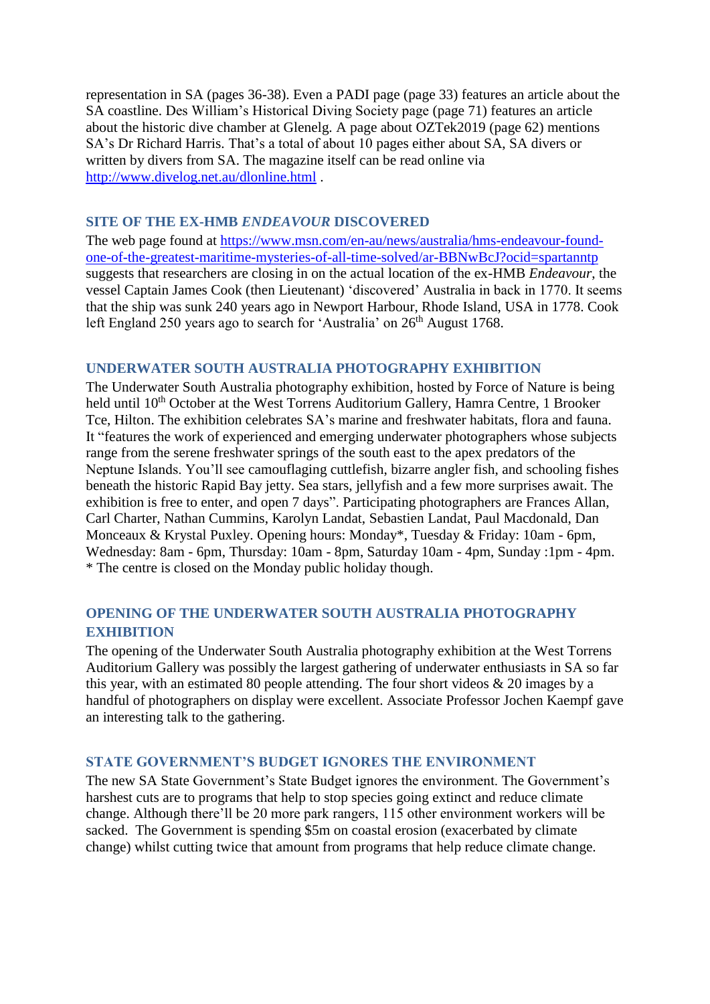representation in SA (pages 36-38). Even a PADI page (page 33) features an article about the SA coastline. Des William's Historical Diving Society page (page 71) features an article about the historic dive chamber at Glenelg. A page about OZTek2019 (page 62) mentions SA's Dr Richard Harris. That's a total of about 10 pages either about SA, SA divers or written by divers from SA. The magazine itself can be read online via <http://www.divelog.net.au/dlonline.html> .

### **SITE OF THE EX-HMB** *ENDEAVOUR* **DISCOVERED**

The web page found at [https://www.msn.com/en-au/news/australia/hms-endeavour-found](https://www.msn.com/en-au/news/australia/hms-endeavour-found-one-of-the-greatest-maritime-mysteries-of-all-time-solved/ar-BBNwBcJ?ocid=spartanntp)[one-of-the-greatest-maritime-mysteries-of-all-time-solved/ar-BBNwBcJ?ocid=spartanntp](https://www.msn.com/en-au/news/australia/hms-endeavour-found-one-of-the-greatest-maritime-mysteries-of-all-time-solved/ar-BBNwBcJ?ocid=spartanntp) suggests that researchers are closing in on the actual location of the ex-HMB *Endeavour*, the vessel Captain James Cook (then Lieutenant) 'discovered' Australia in back in 1770. It seems that the ship was sunk 240 years ago in Newport Harbour, Rhode Island, USA in 1778. Cook left England 250 years ago to search for 'Australia' on  $26<sup>th</sup>$  August 1768.

## **UNDERWATER SOUTH AUSTRALIA PHOTOGRAPHY EXHIBITION**

The Underwater South Australia photography exhibition, hosted by Force of Nature is being held until 10<sup>th</sup> October at the West Torrens Auditorium Gallery, Hamra Centre, 1 Brooker Tce, Hilton. The exhibition celebrates SA's marine and freshwater habitats, flora and fauna. It "features the work of experienced and emerging underwater photographers whose subjects range from the serene freshwater springs of the south east to the apex predators of the Neptune Islands. You'll see camouflaging cuttlefish, bizarre angler fish, and schooling fishes beneath the historic Rapid Bay jetty. Sea stars, jellyfish and a few more surprises await. The exhibition is free to enter, and open 7 days". Participating photographers are Frances Allan, Carl Charter, Nathan Cummins, Karolyn Landat, Sebastien Landat, Paul Macdonald, Dan Monceaux & Krystal Puxley. Opening hours: Monday\*, Tuesday & Friday: 10am - 6pm, Wednesday: 8am - 6pm, Thursday: 10am - 8pm, Saturday 10am - 4pm, Sunday :1pm - 4pm. \* The centre is closed on the Monday public holiday though.

# **OPENING OF THE UNDERWATER SOUTH AUSTRALIA PHOTOGRAPHY EXHIBITION**

The opening of the Underwater South Australia photography exhibition at the West Torrens Auditorium Gallery was possibly the largest gathering of underwater enthusiasts in SA so far this year, with an estimated 80 people attending. The four short videos & 20 images by a handful of photographers on display were excellent. Associate Professor Jochen Kaempf gave an interesting talk to the gathering.

#### **STATE GOVERNMENT'S BUDGET IGNORES THE ENVIRONMENT**

The new SA State Government's State Budget ignores the environment. The Government's harshest cuts are to programs that help to stop species going extinct and reduce climate change. Although there'll be 20 more park rangers, 115 other environment workers will be sacked. The Government is spending \$5m on coastal erosion (exacerbated by climate change) whilst cutting twice that amount from programs that help reduce climate change.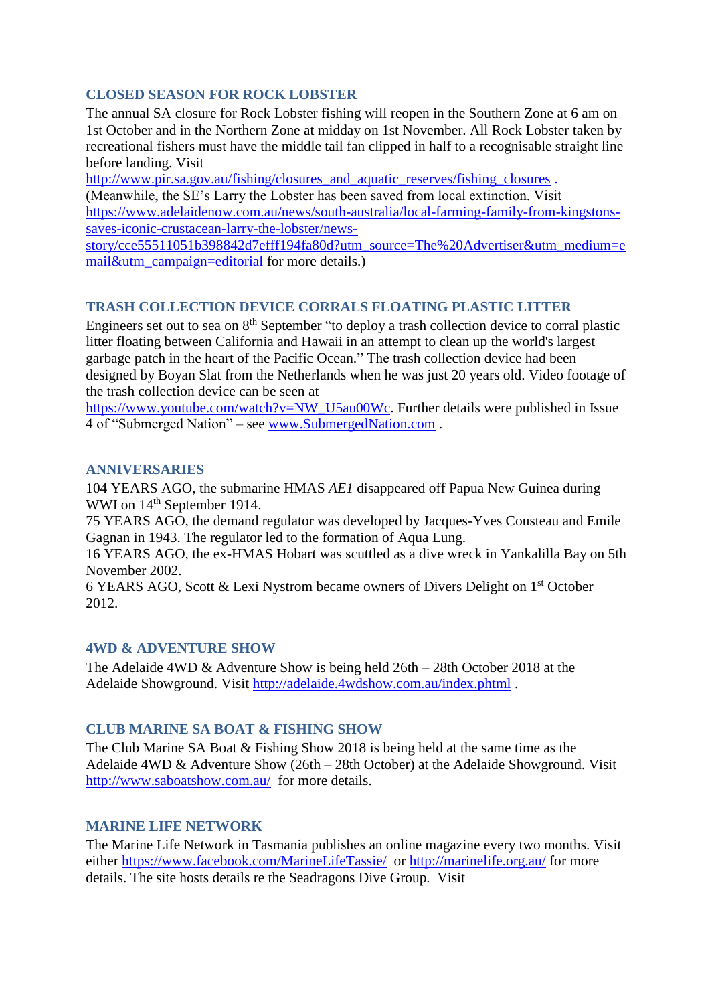# **CLOSED SEASON FOR ROCK LOBSTER**

The annual SA closure for Rock Lobster fishing will reopen in the Southern Zone at 6 am on 1st October and in the Northern Zone at midday on 1st November. All Rock Lobster taken by recreational fishers must have the middle tail fan clipped in half to a recognisable straight line before landing. Visit

[http://www.pir.sa.gov.au/fishing/closures\\_and\\_aquatic\\_reserves/fishing\\_closures](http://www.pir.sa.gov.au/fishing/closures_and_aquatic_reserves/fishing_closures) .

(Meanwhile, the SE's Larry the Lobster has been saved from local extinction. Visit [https://www.adelaidenow.com.au/news/south-australia/local-farming-family-from-kingstons](https://www.adelaidenow.com.au/news/south-australia/local-farming-family-from-kingstons-saves-iconic-crustacean-larry-the-lobster/news-story/cce55511051b398842d7efff194fa80d?utm_source=The%20Advertiser&utm_medium=email&utm_campaign=editorial)[saves-iconic-crustacean-larry-the-lobster/news-](https://www.adelaidenow.com.au/news/south-australia/local-farming-family-from-kingstons-saves-iconic-crustacean-larry-the-lobster/news-story/cce55511051b398842d7efff194fa80d?utm_source=The%20Advertiser&utm_medium=email&utm_campaign=editorial)

[story/cce55511051b398842d7efff194fa80d?utm\\_source=The%20Advertiser&utm\\_medium=e](https://www.adelaidenow.com.au/news/south-australia/local-farming-family-from-kingstons-saves-iconic-crustacean-larry-the-lobster/news-story/cce55511051b398842d7efff194fa80d?utm_source=The%20Advertiser&utm_medium=email&utm_campaign=editorial) [mail&utm\\_campaign=editorial](https://www.adelaidenow.com.au/news/south-australia/local-farming-family-from-kingstons-saves-iconic-crustacean-larry-the-lobster/news-story/cce55511051b398842d7efff194fa80d?utm_source=The%20Advertiser&utm_medium=email&utm_campaign=editorial) for more details.)

# **TRASH COLLECTION DEVICE CORRALS FLOATING PLASTIC LITTER**

Engineers set out to sea on 8<sup>th</sup> September "to deploy a trash collection device to corral plastic litter floating between California and Hawaii in an attempt to clean up the world's largest garbage patch in the heart of the Pacific Ocean." The trash collection device had been designed by Boyan Slat from the Netherlands when he was just 20 years old. Video footage of the trash collection device can be seen at

[https://www.youtube.com/watch?v=NW\\_U5au00Wc.](https://www.youtube.com/watch?v=NW_U5au00Wc) Further details were published in Issue 4 of "Submerged Nation" – see [www.SubmergedNation.com](http://www.submergednation.com/) .

## **ANNIVERSARIES**

104 YEARS AGO, the submarine HMAS *AE1* disappeared off Papua New Guinea during WWI on 14<sup>th</sup> September 1914.

75 YEARS AGO, the demand regulator was developed by Jacques-Yves Cousteau and Emile Gagnan in 1943. The regulator led to the formation of Aqua Lung.

16 YEARS AGO, the ex-HMAS Hobart was scuttled as a dive wreck in Yankalilla Bay on 5th November 2002.

6 YEARS AGO, Scott & Lexi Nystrom became owners of Divers Delight on 1st October 2012.

#### **4WD & ADVENTURE SHOW**

The Adelaide 4WD & Adventure Show is being held 26th – 28th October 2018 at the Adelaide Showground. Visit<http://adelaide.4wdshow.com.au/index.phtml> .

#### **CLUB MARINE SA BOAT & FISHING SHOW**

The Club Marine SA Boat & Fishing Show 2018 is being held at the same time as the Adelaide 4WD & Adventure Show (26th – 28th October) at the Adelaide Showground. Visit <http://www.saboatshow.com.au/> for more details.

# **MARINE LIFE NETWORK**

The Marine Life Network in Tasmania publishes an online magazine every two months. Visit either<https://www.facebook.com/MarineLifeTassie/>or<http://marinelife.org.au/> for more details. The site hosts details re the Seadragons Dive Group. Visit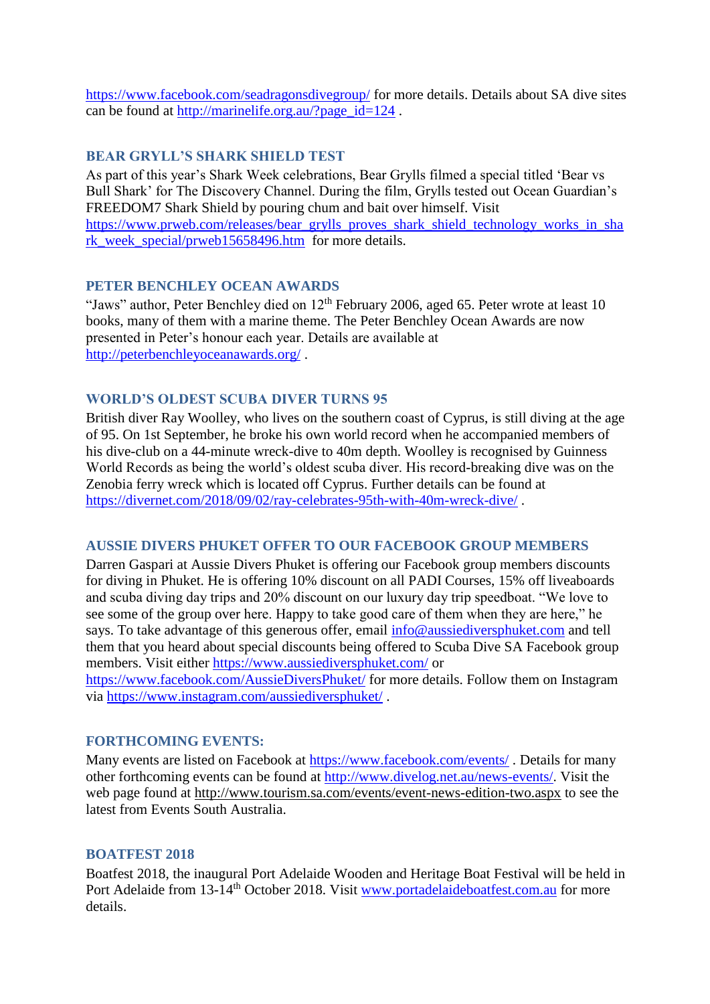<https://www.facebook.com/seadragonsdivegroup/> for more details. Details about SA dive sites can be found at [http://marinelife.org.au/?page\\_id=124](http://marinelife.org.au/?page_id=124) .

## **BEAR GRYLL'S SHARK SHIELD TEST**

As part of this year's Shark Week celebrations, Bear Grylls filmed a special titled 'Bear vs Bull Shark' for The Discovery Channel. During the film, Grylls tested out Ocean Guardian's FREEDOM7 Shark Shield by pouring chum and bait over himself. Visit [https://www.prweb.com/releases/bear\\_grylls\\_proves\\_shark\\_shield\\_technology\\_works\\_in\\_sha](https://www.prweb.com/releases/bear_grylls_proves_shark_shield_technology_works_in_shark_week_special/prweb15658496.htm) [rk\\_week\\_special/prweb15658496.htm](https://www.prweb.com/releases/bear_grylls_proves_shark_shield_technology_works_in_shark_week_special/prweb15658496.htm) for more details.

#### **PETER BENCHLEY OCEAN AWARDS**

"Jaws" author, Peter Benchley died on 12<sup>th</sup> February 2006, aged 65. Peter wrote at least 10 books, many of them with a marine theme. The Peter Benchley Ocean Awards are now presented in Peter's honour each year. Details are available at <http://peterbenchleyoceanawards.org/> .

#### **WORLD'S OLDEST SCUBA DIVER TURNS 95**

British diver Ray Woolley, who lives on the southern coast of Cyprus, is still diving at the age of 95. On 1st September, he broke his own world record when he accompanied members of his dive-club on a 44-minute wreck-dive to 40m depth. Woolley is recognised by Guinness World Records as being the world's oldest scuba diver. His record-breaking dive was on the Zenobia ferry wreck which is located off Cyprus. Further details can be found at <https://divernet.com/2018/09/02/ray-celebrates-95th-with-40m-wreck-dive/> .

#### **AUSSIE DIVERS PHUKET OFFER TO OUR FACEBOOK GROUP MEMBERS**

Darren Gaspari at Aussie Divers Phuket is offering our Facebook group members discounts for diving in Phuket. He is offering 10% discount on all PADI Courses, 15% off liveaboards and scuba diving day trips and 20% discount on our luxury day trip speedboat. "We love to see some of the group over here. Happy to take good care of them when they are here," he says. To take advantage of this generous offer, email [info@aussiediversphuket.com](mailto:info@aussiediversphuket.com) and tell them that you heard about special discounts being offered to Scuba Dive SA Facebook group members. Visit either<https://www.aussiediversphuket.com/> or

<https://www.facebook.com/AussieDiversPhuket/> for more details. Follow them on Instagram via<https://www.instagram.com/aussiediversphuket/> .

#### **FORTHCOMING EVENTS:**

Many events are listed on Facebook at<https://www.facebook.com/events/>. Details for many other forthcoming events can be found at [http://www.divelog.net.au/news-events/.](http://www.divelog.net.au/news-events/) Visit the web page found at<http://www.tourism.sa.com/events/event-news-edition-two.aspx> to see the latest from Events South Australia.

#### **BOATFEST 2018**

Boatfest 2018, the inaugural Port Adelaide Wooden and Heritage Boat Festival will be held in Port Adelaide from 13-14<sup>th</sup> October 2018. Visit [www.portadelaideboatfest.com.au](http://www.portadelaideboatfest.com.au/) for more details.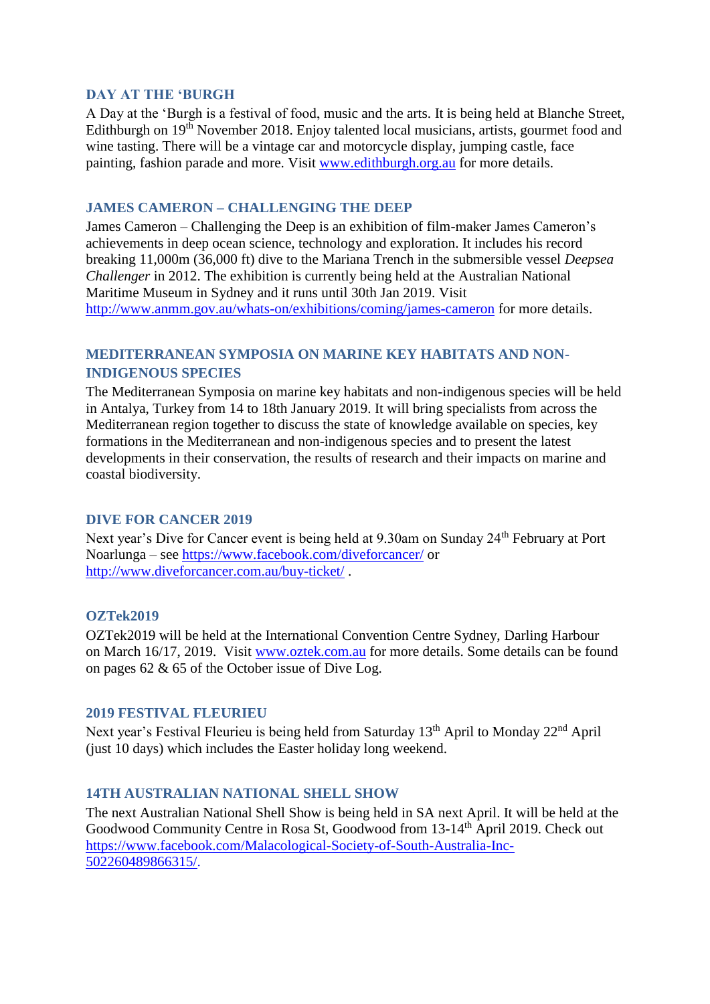### **DAY AT THE 'BURGH**

A Day at the 'Burgh is a festival of food, music and the arts. It is being held at Blanche Street, Edithburgh on 19<sup>th</sup> November 2018. Enjoy talented local musicians, artists, gourmet food and wine tasting. There will be a vintage car and motorcycle display, jumping castle, face painting, fashion parade and more. Visit [www.edithburgh.org.au](http://www.edithburgh.org.au/) for more details.

# **JAMES CAMERON – CHALLENGING THE DEEP**

James Cameron – Challenging the Deep is an exhibition of film-maker James Cameron's achievements in deep ocean science, technology and exploration. It includes his record breaking 11,000m (36,000 ft) dive to the Mariana Trench in the submersible vessel *Deepsea Challenger* in 2012. The exhibition is currently being held at the Australian National Maritime Museum in Sydney and it runs until 30th Jan 2019. Visit <http://www.anmm.gov.au/whats-on/exhibitions/coming/james-cameron> for more details.

# **MEDITERRANEAN SYMPOSIA ON MARINE KEY HABITATS AND NON-INDIGENOUS SPECIES**

The Mediterranean Symposia on marine key habitats and non-indigenous species will be held in Antalya, Turkey from 14 to 18th January 2019. It will bring specialists from across the Mediterranean region together to discuss the state of knowledge available on species, key formations in the Mediterranean and non-indigenous species and to present the latest developments in their conservation, the results of research and their impacts on marine and coastal biodiversity.

#### **DIVE FOR CANCER 2019**

Next year's Dive for Cancer event is being held at 9.30am on Sunday 24<sup>th</sup> February at Port Noarlunga – see<https://www.facebook.com/diveforcancer/> or <http://www.diveforcancer.com.au/buy-ticket/> .

#### **OZTek2019**

OZTek2019 will be held at the International Convention Centre Sydney, Darling Harbour on March 16/17, 2019. Visit [www.oztek.com.au](http://www.oztek.com.au/) for more details. Some details can be found on pages 62 & 65 of the October issue of Dive Log.

#### **2019 FESTIVAL FLEURIEU**

Next year's Festival Fleurieu is being held from Saturday 13<sup>th</sup> April to Monday 22<sup>nd</sup> April (just 10 days) which includes the Easter holiday long weekend.

#### **14TH AUSTRALIAN NATIONAL SHELL SHOW**

The next Australian National Shell Show is being held in SA next April. It will be held at the Goodwood Community Centre in Rosa St, Goodwood from 13-14th April 2019. Check out [https://www.facebook.com/Malacological-Society-of-South-Australia-Inc-](https://www.facebook.com/Malacological-Society-of-South-Australia-Inc-502260489866315/)[502260489866315/.](https://www.facebook.com/Malacological-Society-of-South-Australia-Inc-502260489866315/)